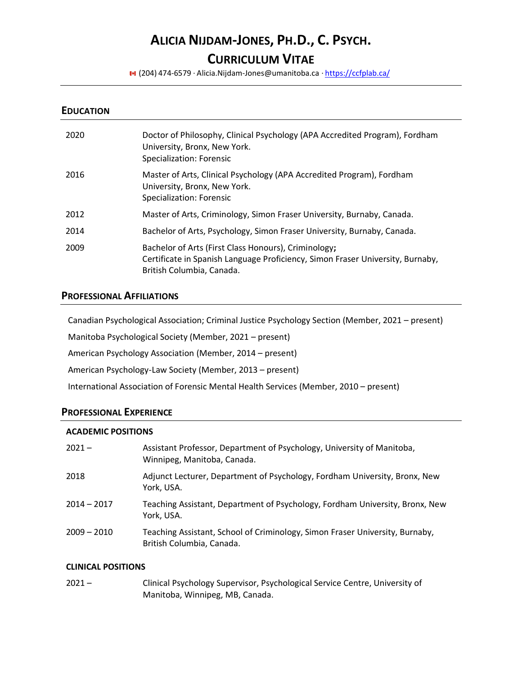# **ALICIA NIJDAM-JONES, PH.D., C. PSYCH.**

# **CURRICULUM VITAE**

(204) 474-6579 · [Alicia.Nijdam-Jones@umanitoba.ca](mailto:Alicia.Nijdam-Jones@umanitoba.ca) · <https://ccfplab.ca/>

#### **EDUCATION**

| 2020 | Doctor of Philosophy, Clinical Psychology (APA Accredited Program), Fordham<br>University, Bronx, New York.<br>Specialization: Forensic                             |
|------|---------------------------------------------------------------------------------------------------------------------------------------------------------------------|
| 2016 | Master of Arts, Clinical Psychology (APA Accredited Program), Fordham<br>University, Bronx, New York.<br>Specialization: Forensic                                   |
| 2012 | Master of Arts, Criminology, Simon Fraser University, Burnaby, Canada.                                                                                              |
| 2014 | Bachelor of Arts, Psychology, Simon Fraser University, Burnaby, Canada.                                                                                             |
| 2009 | Bachelor of Arts (First Class Honours), Criminology;<br>Certificate in Spanish Language Proficiency, Simon Fraser University, Burnaby,<br>British Columbia, Canada. |

# **PROFESSIONAL AFFILIATIONS**

Canadian Psychological Association; Criminal Justice Psychology Section (Member, 2021 – present)

Manitoba Psychological Society (Member, 2021 – present)

American Psychology Association (Member, 2014 – present)

American Psychology-Law Society (Member, 2013 – present)

International Association of Forensic Mental Health Services (Member, 2010 – present)

#### **PROFESSIONAL EXPERIENCE**

#### **ACADEMIC POSITIONS**

| $2021 -$      | Assistant Professor, Department of Psychology, University of Manitoba,<br>Winnipeg, Manitoba, Canada.     |
|---------------|-----------------------------------------------------------------------------------------------------------|
| 2018          | Adjunct Lecturer, Department of Psychology, Fordham University, Bronx, New<br>York, USA.                  |
| $2014 - 2017$ | Teaching Assistant, Department of Psychology, Fordham University, Bronx, New<br>York. USA.                |
| $2009 - 2010$ | Teaching Assistant, School of Criminology, Simon Fraser University, Burnaby,<br>British Columbia, Canada. |

#### **CLINICAL POSITIONS**

2021 – Clinical Psychology Supervisor, Psychological Service Centre, University of Manitoba, Winnipeg, MB, Canada.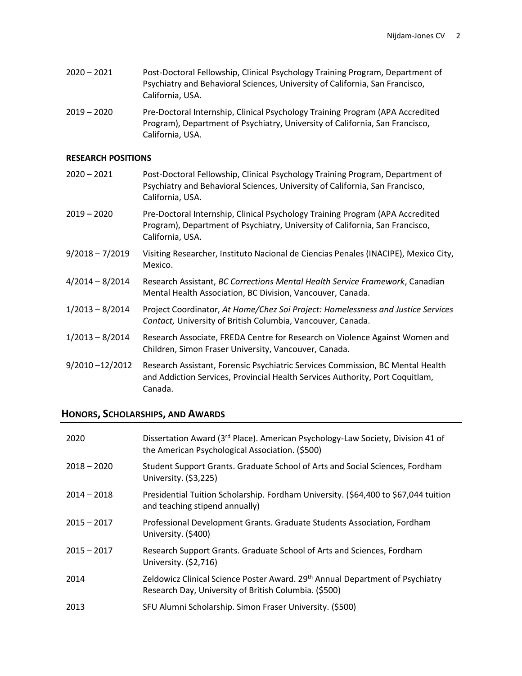| $2020 - 2021$ | Post-Doctoral Fellowship, Clinical Psychology Training Program, Department of |
|---------------|-------------------------------------------------------------------------------|
|               | Psychiatry and Behavioral Sciences, University of California, San Francisco,  |
|               | California. USA.                                                              |

2019 – 2020 Pre-Doctoral Internship, Clinical Psychology Training Program (APA Accredited Program), Department of Psychiatry, University of California, San Francisco, California, USA.

#### **RESEARCH POSITIONS**

2020 – 2021 Post-Doctoral Fellowship, Clinical Psychology Training Program, Department of Psychiatry and Behavioral Sciences, University of California, San Francisco, California, USA. 2019 – 2020 Pre-Doctoral Internship, Clinical Psychology Training Program (APA Accredited Program), Department of Psychiatry, University of California, San Francisco, California, USA. 9/2018 – 7/2019 Visiting Researcher, Instituto Nacional de Ciencias Penales (INACIPE), Mexico City, Mexico. 4/2014 – 8/2014 Research Assistant, *BC Corrections Mental Health Service Framework*, Canadian Mental Health Association, BC Division, Vancouver, Canada. 1/2013 – 8/2014 Project Coordinator, *At Home/Chez Soi Project: Homelessness and Justice Services Contact,* University of British Columbia, Vancouver, Canada. 1/2013 – 8/2014 Research Associate, FREDA Centre for Research on Violence Against Women and Children, Simon Fraser University, Vancouver, Canada. 9/2010 –12/2012 Research Assistant, Forensic Psychiatric Services Commission, BC Mental Health

and Addiction Services, Provincial Health Services Authority, Port Coquitlam,

#### **HONORS, SCHOLARSHIPS, AND AWARDS**

Canada.

| 2020          | Dissertation Award (3 <sup>rd</sup> Place). American Psychology-Law Society, Division 41 of<br>the American Psychological Association. (\$500) |
|---------------|------------------------------------------------------------------------------------------------------------------------------------------------|
| $2018 - 2020$ | Student Support Grants. Graduate School of Arts and Social Sciences, Fordham<br>University. (\$3,225)                                          |
| $2014 - 2018$ | Presidential Tuition Scholarship. Fordham University. (\$64,400 to \$67,044 tuition<br>and teaching stipend annually)                          |
| $2015 - 2017$ | Professional Development Grants. Graduate Students Association, Fordham<br>University. (\$400)                                                 |
| $2015 - 2017$ | Research Support Grants. Graduate School of Arts and Sciences, Fordham<br>University. (\$2,716)                                                |
| 2014          | Zeldowicz Clinical Science Poster Award. 29th Annual Department of Psychiatry<br>Research Day, University of British Columbia. (\$500)         |
| 2013          | SFU Alumni Scholarship. Simon Fraser University. (\$500)                                                                                       |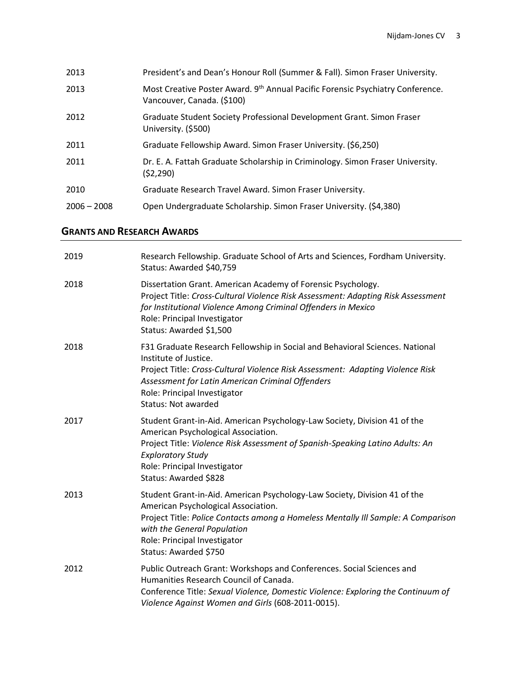| 2013          | President's and Dean's Honour Roll (Summer & Fall). Simon Fraser University.                                 |
|---------------|--------------------------------------------------------------------------------------------------------------|
| 2013          | Most Creative Poster Award. 9th Annual Pacific Forensic Psychiatry Conference.<br>Vancouver, Canada. (\$100) |
| 2012          | Graduate Student Society Professional Development Grant. Simon Fraser<br>University. (\$500)                 |
| 2011          | Graduate Fellowship Award. Simon Fraser University. (\$6,250)                                                |
| 2011          | Dr. E. A. Fattah Graduate Scholarship in Criminology. Simon Fraser University.<br>(52, 290)                  |
| 2010          | Graduate Research Travel Award. Simon Fraser University.                                                     |
| $2006 - 2008$ | Open Undergraduate Scholarship. Simon Fraser University. (\$4,380)                                           |

# **GRANTS AND RESEARCH AWARDS**

| 2019 | Research Fellowship. Graduate School of Arts and Sciences, Fordham University.<br>Status: Awarded \$40,759                                                                                                                                                                                                |
|------|-----------------------------------------------------------------------------------------------------------------------------------------------------------------------------------------------------------------------------------------------------------------------------------------------------------|
| 2018 | Dissertation Grant. American Academy of Forensic Psychology.<br>Project Title: Cross-Cultural Violence Risk Assessment: Adapting Risk Assessment<br>for Institutional Violence Among Criminal Offenders in Mexico<br>Role: Principal Investigator<br>Status: Awarded \$1,500                              |
| 2018 | F31 Graduate Research Fellowship in Social and Behavioral Sciences. National<br>Institute of Justice.<br>Project Title: Cross-Cultural Violence Risk Assessment: Adapting Violence Risk<br>Assessment for Latin American Criminal Offenders<br>Role: Principal Investigator<br><b>Status: Not awarded</b> |
| 2017 | Student Grant-in-Aid. American Psychology-Law Society, Division 41 of the<br>American Psychological Association.<br>Project Title: Violence Risk Assessment of Spanish-Speaking Latino Adults: An<br><b>Exploratory Study</b><br>Role: Principal Investigator<br>Status: Awarded \$828                    |
| 2013 | Student Grant-in-Aid. American Psychology-Law Society, Division 41 of the<br>American Psychological Association.<br>Project Title: Police Contacts among a Homeless Mentally III Sample: A Comparison<br>with the General Population<br>Role: Principal Investigator<br>Status: Awarded \$750             |
| 2012 | Public Outreach Grant: Workshops and Conferences. Social Sciences and<br>Humanities Research Council of Canada.<br>Conference Title: Sexual Violence, Domestic Violence: Exploring the Continuum of<br>Violence Against Women and Girls (608-2011-0015).                                                  |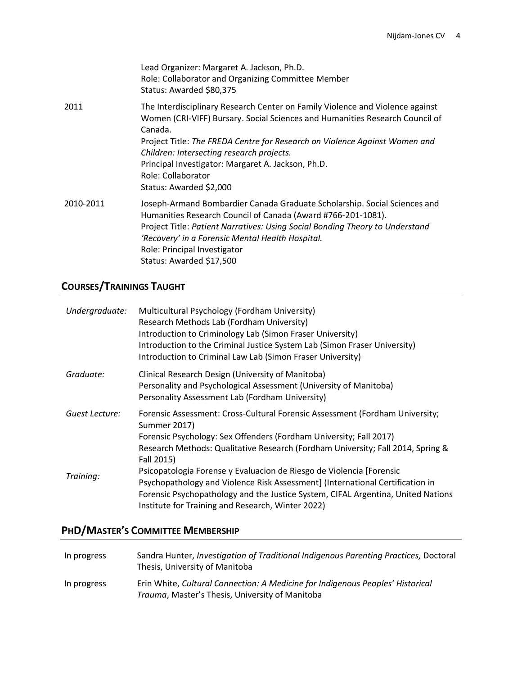|           | Lead Organizer: Margaret A. Jackson, Ph.D.<br>Role: Collaborator and Organizing Committee Member<br>Status: Awarded \$80,375                                                                                                                                                                                                                                                                               |
|-----------|------------------------------------------------------------------------------------------------------------------------------------------------------------------------------------------------------------------------------------------------------------------------------------------------------------------------------------------------------------------------------------------------------------|
| 2011      | The Interdisciplinary Research Center on Family Violence and Violence against<br>Women (CRI-VIFF) Bursary. Social Sciences and Humanities Research Council of<br>Canada.<br>Project Title: The FREDA Centre for Research on Violence Against Women and<br>Children: Intersecting research projects.<br>Principal Investigator: Margaret A. Jackson, Ph.D.<br>Role: Collaborator<br>Status: Awarded \$2,000 |
| 2010-2011 | Joseph-Armand Bombardier Canada Graduate Scholarship. Social Sciences and<br>Humanities Research Council of Canada (Award #766-201-1081).<br>Project Title: Patient Narratives: Using Social Bonding Theory to Understand<br>'Recovery' in a Forensic Mental Health Hospital.<br>Role: Principal Investigator<br>Status: Awarded \$17,500                                                                  |

# **COURSES/TRAININGS TAUGHT**

| Undergraduate: | Multicultural Psychology (Fordham University)<br>Research Methods Lab (Fordham University)<br>Introduction to Criminology Lab (Simon Fraser University)<br>Introduction to the Criminal Justice System Lab (Simon Fraser University)<br>Introduction to Criminal Law Lab (Simon Fraser University) |
|----------------|----------------------------------------------------------------------------------------------------------------------------------------------------------------------------------------------------------------------------------------------------------------------------------------------------|
| Graduate:      | Clinical Research Design (University of Manitoba)<br>Personality and Psychological Assessment (University of Manitoba)<br>Personality Assessment Lab (Fordham University)                                                                                                                          |
| Guest Lecture: | Forensic Assessment: Cross-Cultural Forensic Assessment (Fordham University;<br>Summer 2017)<br>Forensic Psychology: Sex Offenders (Fordham University; Fall 2017)<br>Research Methods: Qualitative Research (Fordham University; Fall 2014, Spring &<br>Fall 2015)                                |
| Training:      | Psicopatologia Forense y Evaluacion de Riesgo de Violencia [Forensic<br>Psychopathology and Violence Risk Assessment] (International Certification in<br>Forensic Psychopathology and the Justice System, CIFAL Argentina, United Nations<br>Institute for Training and Research, Winter 2022)     |

# **PHD/MASTER'S COMMITTEE MEMBERSHIP**

| In progress | Sandra Hunter, Investigation of Traditional Indigenous Parenting Practices, Doctoral<br>Thesis, University of Manitoba            |
|-------------|-----------------------------------------------------------------------------------------------------------------------------------|
| In progress | Erin White, Cultural Connection: A Medicine for Indigenous Peoples' Historical<br>Trauma, Master's Thesis, University of Manitoba |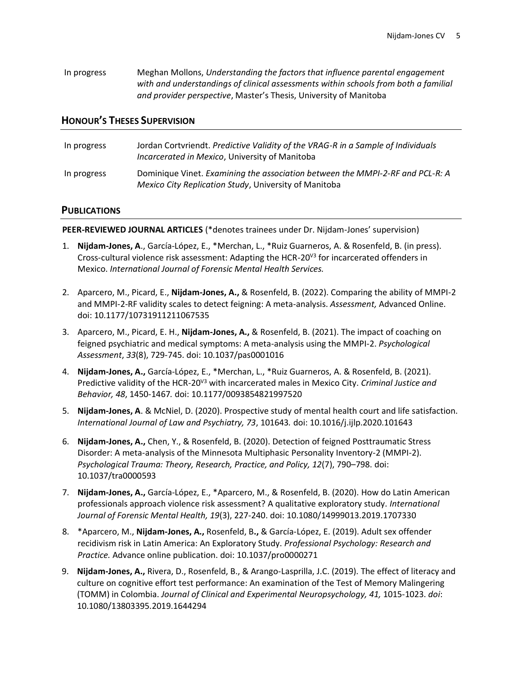| In progress | Meghan Mollons, Understanding the factors that influence parental engagement        |
|-------------|-------------------------------------------------------------------------------------|
|             | with and understandings of clinical assessments within schools from both a familial |
|             | and provider perspective, Master's Thesis, University of Manitoba                   |

### **HONOUR'S THESES SUPERVISION**

| In progress | Jordan Cortvriendt. Predictive Validity of the VRAG-R in a Sample of Individuals<br>Incarcerated in Mexico, University of Manitoba            |
|-------------|-----------------------------------------------------------------------------------------------------------------------------------------------|
| In progress | Dominique Vinet. Examining the association between the MMPI-2-RF and PCL-R: A<br><i>Mexico City Replication Study, University of Manitoba</i> |

#### **PUBLICATIONS**

**PEER-REVIEWED JOURNAL ARTICLES** (\*denotes trainees under Dr. Nijdam-Jones' supervision)

- 1. **Nijdam-Jones, A**., García-López, E., \*Merchan, L., \*Ruiz Guarneros, A. & Rosenfeld, B. (in press). Cross-cultural violence risk assessment: Adapting the HCR-20<sup>V3</sup> for incarcerated offenders in Mexico. *International Journal of Forensic Mental Health Services.*
- 2. Aparcero, M., Picard, E., **Nijdam-Jones, A.,** & Rosenfeld, B. (2022). Comparing the ability of MMPI-2 and MMPI-2-RF validity scales to detect feigning: A meta-analysis. *Assessment,* Advanced Online. doi[: 10.1177/10731911211067535](https://doi.org/10.1177/10731911211067535)
- 3. Aparcero, M., Picard, E. H., **Nijdam-Jones, A.,** & Rosenfeld, B. (2021). The impact of coaching on feigned psychiatric and medical symptoms: A meta-analysis using the MMPI-2. *Psychological Assessment*, *33*(8), 729-745. [doi: 10.1037/pas0001016](https://doi.org/10.1037/pas0001016)
- 4. **Nijdam-Jones, A.,** García-López, E., \*Merchan, L., \*Ruiz Guarneros, A. & Rosenfeld, B. (2021). Predictive validity of the HCR-20V3 with incarcerated males in Mexico City. *Criminal Justice and Behavior, 48*, 1450-1467*.* doi[: 10.1177/0093854821997520](https://doi.org/10.1177/0093854821997520)
- 5. **Nijdam-Jones, A**. & McNiel, D. (2020). Prospective study of mental health court and life satisfaction. *International Journal of Law and Psychiatry, 73*, 101643*.* doi[: 10.1016/j.ijlp.2020.101643](https://www.sciencedirect.com/science/article/abs/pii/S0160252720301023)
- 6. **Nijdam-Jones, A.,** Chen, Y., & Rosenfeld, B. (2020). Detection of feigned Posttraumatic Stress Disorder: A meta-analysis of the Minnesota Multiphasic Personality Inventory-2 (MMPI-2). *Psychological Trauma: Theory, Research, Practice, and Policy, 12*(7), 790–798. doi: [10.1037/tra0000593](https://psycnet.apa.org/doiLanding?doi=10.1037%2Ftra0000593)
- 7. **Nijdam-Jones, A.,** García-López, E., \*Aparcero, M., & Rosenfeld, B. (2020). How do Latin American professionals approach violence risk assessment? A qualitative exploratory study. *International Journal of Forensic Mental Health, 19*(3), 227-240. doi: [10.1080/14999013.2019.1707330](https://www.tandfonline.com/doi/abs/10.1080/14999013.2019.1707330?journalCode=ufmh20)
- 8. \*Aparcero, M., **Nijdam-Jones, A.,** Rosenfeld, B**.,** & García-López, E. (2019). Adult sex offender recidivism risk in Latin America: An Exploratory Study. *Professional Psychology: Research and Practice.* Advance online publication. doi: [10.1037/pro0000271](https://psycnet.apa.org/doi/10.1037/pro0000271)
- 9. **Nijdam-Jones, A.,** Rivera, D., Rosenfeld, B., & Arango-Lasprilla, J.C. (2019). The effect of literacy and culture on cognitive effort test performance: An examination of the Test of Memory Malingering (TOMM) in Colombia. *Journal of Clinical and Experimental Neuropsychology, 41,* 1015-1023. *doi*: [10.1080/13803395.2019.1644294](https://www.tandfonline.com/doi/abs/10.1080/13803395.2019.1644294?journalCode=ncen20)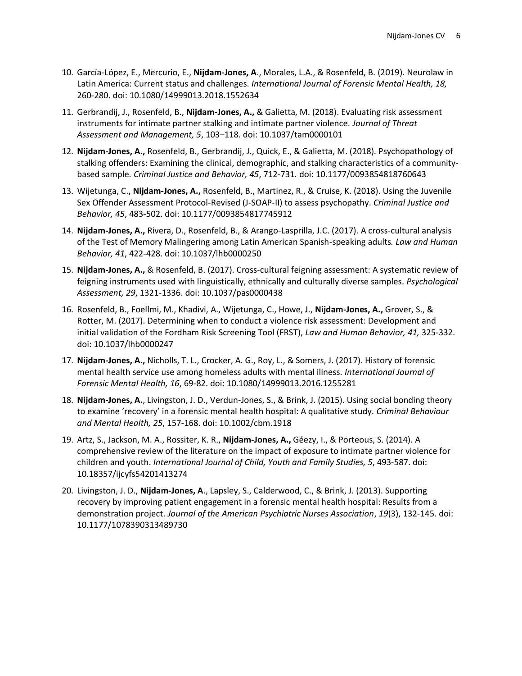- 10. García-López, E., Mercurio, E., **Nijdam-Jones, A**., Morales, L.A., & Rosenfeld, B. (2019). Neurolaw in Latin America: Current status and challenges. *International Journal of Forensic Mental Health, 18,*  260-280. doi: [10.1080/14999013.2018.1552634](https://www.tandfonline.com/doi/abs/10.1080/14999013.2018.1552634)
- 11. Gerbrandij, J., Rosenfeld, B., **Nijdam-Jones, A.,** & Galietta, M. (2018). Evaluating risk assessment instruments for intimate partner stalking and intimate partner violence. *Journal of Threat Assessment and Management, 5*, 103–118. doi[: 10.1037/tam0000101](https://psycnet.apa.org/record/2018-29044-004)
- 12. **Nijdam-Jones, A.,** Rosenfeld, B., Gerbrandij, J., Quick, E., & Galietta, M. (2018). Psychopathology of stalking offenders: Examining the clinical, demographic, and stalking characteristics of a communitybased sample*. Criminal Justice and Behavior, 45*, 712-731*.* doi[: 10.1177/0093854818760643](https://journals.sagepub.com/doi/10.1177/0093854818760643)
- 13. Wijetunga, C., **Nijdam-Jones, A.,** Rosenfeld, B., Martinez, R., & Cruise, K. (2018). Using the Juvenile Sex Offender Assessment Protocol-Revised (J-SOAP-II) to assess psychopathy. *Criminal Justice and Behavior, 45*, 483-502. doi: [10.1177/0093854817745912](https://journals.sagepub.com/doi/abs/10.1177/0093854817745912?journalCode=cjbb)
- 14. **Nijdam-Jones, A.,** Rivera, D., Rosenfeld, B., & Arango-Lasprilla, J.C. (2017). A cross-cultural analysis of the Test of Memory Malingering among Latin American Spanish-speaking adults*. Law and Human Behavior, 41*, 422-428. doi: [10.1037/lhb0000250](https://psycnet.apa.org/buy/2017-27397-001)
- 15. **Nijdam-Jones, A.,** & Rosenfeld, B. (2017). Cross-cultural feigning assessment: A systematic review of feigning instruments used with linguistically, ethnically and culturally diverse samples. *Psychological Assessment, 29*, 1321-1336. doi: [10.1037/pas0000438](https://psycnet.apa.org/doiLanding?doi=10.1037%2Fpas0000438)
- 16. Rosenfeld, B., Foellmi, M., Khadivi, A., Wijetunga, C., Howe, J., **Nijdam-Jones, A.,** Grover, S., & Rotter, M. (2017). Determining when to conduct a violence risk assessment: Development and initial validation of the Fordham Risk Screening Tool (FRST), *Law and Human Behavior, 41,* 325-332. doi: [10.1037/lhb0000247](https://psycnet.apa.org/record/2017-27396-001)
- 17. **Nijdam-Jones, A.,** Nicholls, T. L., Crocker, A. G., Roy, L., & Somers, J. (2017). History of forensic mental health service use among homeless adults with mental illness. *International Journal of Forensic Mental Health, 16*, 69-82. doi: [10.1080/14999013.2016.1255281](https://www.tandfonline.com/doi/abs/10.1080/14999013.2016.1255281?journalCode=ufmh20)
- 18. **Nijdam-Jones, A.**, Livingston, J. D., Verdun-Jones, S., & Brink, J. (2015). Using social bonding theory to examine 'recovery' in a forensic mental health hospital: A qualitative study. *Criminal Behaviour and Mental Health, 25*, 157-168. doi: [10.1002/cbm.1918](https://pubmed.ncbi.nlm.nih.gov/24910365/)
- 19. Artz, S., Jackson, M. A., Rossiter, K. R., **Nijdam-Jones, A.,** Géezy, I., & Porteous, S. (2014). A comprehensive review of the literature on the impact of exposure to intimate partner violence for children and youth. *International Journal of Child, Youth and Family Studies, 5*, 493-587. doi: [10.18357/ijcyfs54201413274](https://doi.org/10.18357/ijcyfs54201413274)
- 20. Livingston, J. D., **Nijdam-Jones, A**., Lapsley, S., Calderwood, C., & Brink, J. (2013). Supporting recovery by improving patient engagement in a forensic mental health hospital: Results from a demonstration project. *Journal of the American Psychiatric Nurses Association*, *19*(3), 132-145. doi: [10.1177/1078390313489730](https://journals.sagepub.com/doi/10.1177/1078390313489730)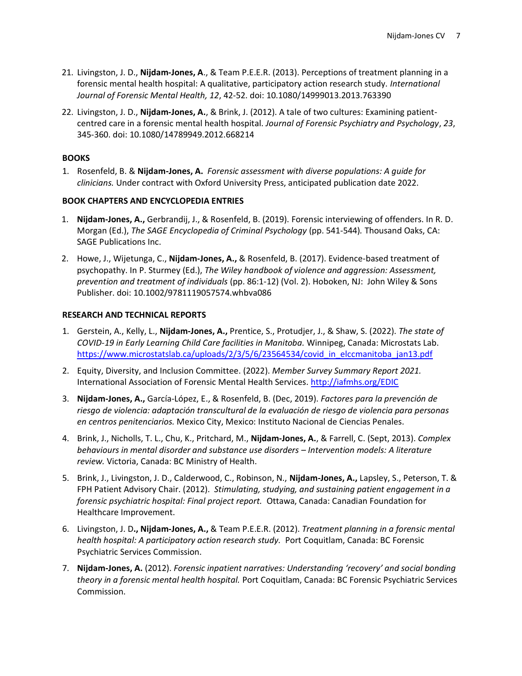- 21. Livingston, J. D., **Nijdam-Jones, A**., & Team P.E.E.R. (2013). Perceptions of treatment planning in a forensic mental health hospital: A qualitative, participatory action research study. *International Journal of Forensic Mental Health, 12*, 42-52. doi[: 10.1080/14999013.2013.763390](https://www.tandfonline.com/doi/abs/10.1080/14999013.2013.763390)
- 22. Livingston, J. D., **Nijdam-Jones, A.**, & Brink, J. (2012). A tale of two cultures: Examining patientcentred care in a forensic mental health hospital. *Journal of Forensic Psychiatry and Psychology*, *23*, 345-360. doi: [10.1080/14789949.2012.668214](https://www.tandfonline.com/doi/full/10.1080/14789949.2012.668214)

#### **BOOKS**

1. Rosenfeld, B. & **Nijdam-Jones, A.** *Forensic assessment with diverse populations: A guide for clinicians.* Under contract with Oxford University Press, anticipated publication date 2022.

#### **BOOK CHAPTERS AND ENCYCLOPEDIA ENTRIES**

- 1. **Nijdam-Jones, A.,** Gerbrandij, J., & Rosenfeld, B. (2019). Forensic interviewing of offenders. In R. D. Morgan (Ed.), *The SAGE Encyclopedia of Criminal Psychology* (pp. 541-544)*.* Thousand Oaks, CA: SAGE Publications Inc.
- 2. Howe, J., Wijetunga, C., **Nijdam-Jones, A.,** & Rosenfeld, B. (2017). Evidence-based treatment of psychopathy. In P. Sturmey (Ed.), *The Wiley handbook of violence and aggression: Assessment, prevention and treatment of individuals* (pp. 86:1-12) (Vol. 2). Hoboken, NJ: John Wiley & Sons Publisher. doi[: 10.1002/9781119057574.whbva086](https://onlinelibrary.wiley.com/doi/abs/10.1002/9781119057574.whbva086)

#### **RESEARCH AND TECHNICAL REPORTS**

- 1. Gerstein, A., Kelly, L., **Nijdam-Jones, A.,** Prentice, S., Protudjer, J., & Shaw, S. (2022). *The state of COVID-19 in Early Learning Child Care facilities in Manitoba.* Winnipeg, Canada: Microstats Lab. [https://www.microstatslab.ca/uploads/2/3/5/6/23564534/covid\\_in\\_elccmanitoba\\_jan13.pdf](https://www.microstatslab.ca/uploads/2/3/5/6/23564534/covid_in_elccmanitoba_jan13.pdf)
- 2. Equity, Diversity, and Inclusion Committee. (2022). *Member Survey Summary Report 2021.* International Association of Forensic Mental Health Services[. http://iafmhs.org/EDIC](http://iafmhs.org/EDIC)
- 3. **Nijdam-Jones, A.,** García-López, E., & Rosenfeld, B. (Dec, 2019). *Factores para la prevención de riesgo de violencia: adaptación transcultural de la evaluación de riesgo de violencia para personas en centros penitenciarios.* Mexico City, Mexico: Instituto Nacional de Ciencias Penales.
- 4. Brink, J., Nicholls, T. L., Chu, K., Pritchard, M., **Nijdam-Jones, A.**, & Farrell, C. (Sept, 2013). *Complex behaviours in mental disorder and substance use disorders – Intervention models: A literature review.* Victoria, Canada: BC Ministry of Health.
- 5. Brink, J., Livingston, J. D., Calderwood, C., Robinson, N., **Nijdam‐Jones, A.,** Lapsley, S., Peterson, T. & FPH Patient Advisory Chair. (2012). *Stimulating, studying, and sustaining patient engagement in a forensic psychiatric hospital: Final project report.* Ottawa, Canada: Canadian Foundation for Healthcare Improvement.
- 6. Livingston, J. D**., Nijdam‐Jones, A.,** & Team P.E.E.R. (2012). *Treatment planning in a forensic mental health hospital: A participatory action research study.* Port Coquitlam, Canada: BC Forensic Psychiatric Services Commission.
- 7. **Nijdam‐Jones, A.** (2012). *Forensic inpatient narratives: Understanding 'recovery' and social bonding theory in a forensic mental health hospital.* Port Coquitlam, Canada: BC Forensic Psychiatric Services Commission.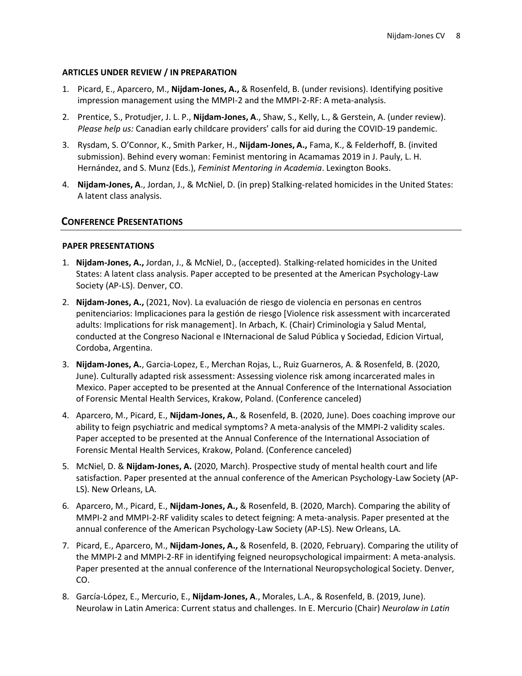#### **ARTICLES UNDER REVIEW / IN PREPARATION**

- 1. Picard, E., Aparcero, M., **Nijdam-Jones, A.,** & Rosenfeld, B. (under revisions). Identifying positive impression management using the MMPI-2 and the MMPI-2-RF: A meta-analysis.
- 2. Prentice, S., Protudjer, J. L. P., **Nijdam-Jones, A**., Shaw, S., Kelly, L., & Gerstein, A. (under review). *Please help us:* Canadian early childcare providers' calls for aid during the COVID-19 pandemic.
- 3. Rysdam, S. O'Connor, K., Smith Parker, H., **Nijdam-Jones, A.,** Fama, K., & Felderhoff, B. (invited submission). Behind every woman: Feminist mentoring in Acamamas 2019 in J. Pauly, L. H. Hernández, and S. Munz (Eds.), *Feminist Mentoring in Academia*. Lexington Books.
- 4. **Nijdam-Jones, A**., Jordan, J., & McNiel, D. (in prep) Stalking-related homicides in the United States: A latent class analysis.

# **CONFERENCE PRESENTATIONS**

#### **PAPER PRESENTATIONS**

- 1. **Nijdam-Jones, A.,** Jordan, J., & McNiel, D., (accepted). Stalking-related homicides in the United States: A latent class analysis. Paper accepted to be presented at the American Psychology-Law Society (AP-LS). Denver, CO.
- 2. **Nijdam-Jones, A.,** (2021, Nov). La evaluación de riesgo de violencia en personas en centros penitenciarios: Implicaciones para la gestión de riesgo [Violence risk assessment with incarcerated adults: Implications for risk management]. In Arbach, K. (Chair) Criminologia y Salud Mental, conducted at the Congreso Nacional e INternacional de Salud Pública y Sociedad, Edicion Virtual, Cordoba, Argentina.
- 3. **Nijdam-Jones, A.**, Garcia-Lopez, E., Merchan Rojas, L., Ruiz Guarneros, A. & Rosenfeld, B. (2020, June). Culturally adapted risk assessment: Assessing violence risk among incarcerated males in Mexico. Paper accepted to be presented at the Annual Conference of the International Association of Forensic Mental Health Services, Krakow, Poland. (Conference canceled)
- 4. Aparcero, M., Picard, E., **Nijdam-Jones, A.**, & Rosenfeld, B. (2020, June). Does coaching improve our ability to feign psychiatric and medical symptoms? A meta-analysis of the MMPI-2 validity scales. Paper accepted to be presented at the Annual Conference of the International Association of Forensic Mental Health Services, Krakow, Poland. (Conference canceled)
- 5. McNiel, D. & **Nijdam-Jones, A.** (2020, March). Prospective study of mental health court and life satisfaction. Paper presented at the annual conference of the American Psychology-Law Society (AP-LS). New Orleans, LA.
- 6. Aparcero, M., Picard, E., **Nijdam-Jones, A.,** & Rosenfeld, B. (2020, March). Comparing the ability of MMPI-2 and MMPI-2-RF validity scales to detect feigning: A meta-analysis. Paper presented at the annual conference of the American Psychology-Law Society (AP-LS). New Orleans, LA.
- 7. Picard, E., Aparcero, M., **Nijdam-Jones, A.,** & Rosenfeld, B. (2020, February). Comparing the utility of the MMPI-2 and MMPI-2-RF in identifying feigned neuropsychological impairment: A meta-analysis. Paper presented at the annual conference of the International Neuropsychological Society. Denver, CO.
- 8. García-López, E., Mercurio, E., **Nijdam-Jones, A**., Morales, L.A., & Rosenfeld, B. (2019, June). Neurolaw in Latin America: Current status and challenges. In E. Mercurio (Chair) *Neurolaw in Latin*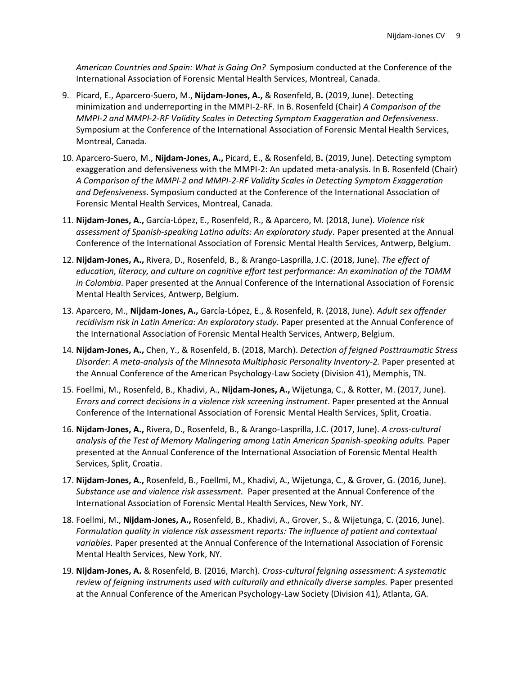*American Countries and Spain: What is Going On?* Symposium conducted at the Conference of the International Association of Forensic Mental Health Services, Montreal, Canada.

- 9. Picard, E., Aparcero-Suero, M., **Nijdam-Jones, A.,** & Rosenfeld, B**.** (2019, June). Detecting minimization and underreporting in the MMPI-2-RF. In B. Rosenfeld (Chair) *A Comparison of the MMPI-2 and MMPI-2-RF Validity Scales in Detecting Symptom Exaggeration and Defensiveness*. Symposium at the Conference of the International Association of Forensic Mental Health Services, Montreal, Canada.
- 10. Aparcero-Suero, M., **Nijdam-Jones, A.,** Picard, E., & Rosenfeld, B**.** (2019, June). Detecting symptom exaggeration and defensiveness with the MMPI-2: An updated meta-analysis. In B. Rosenfeld (Chair) *A Comparison of the MMPI-2 and MMPI-2-RF Validity Scales in Detecting Symptom Exaggeration and Defensiveness*. Symposium conducted at the Conference of the International Association of Forensic Mental Health Services, Montreal, Canada.
- 11. **Nijdam-Jones, A.,** García-López, E., Rosenfeld, R., & Aparcero, M. (2018, June). *Violence risk assessment of Spanish-speaking Latino adults: An exploratory study.* Paper presented at the Annual Conference of the International Association of Forensic Mental Health Services, Antwerp, Belgium.
- 12. **Nijdam-Jones, A.,** Rivera, D., Rosenfeld, B., & Arango-Lasprilla, J.C. (2018, June). *The effect of education, literacy, and culture on cognitive effort test performance: An examination of the TOMM in Colombia.* Paper presented at the Annual Conference of the International Association of Forensic Mental Health Services, Antwerp, Belgium.
- 13. Aparcero, M., **Nijdam-Jones, A.,** García-López, E., & Rosenfeld, R. (2018, June). *Adult sex offender recidivism risk in Latin America: An exploratory study.* Paper presented at the Annual Conference of the International Association of Forensic Mental Health Services, Antwerp, Belgium.
- 14. **Nijdam-Jones, A.,** Chen, Y., & Rosenfeld, B. (2018, March). *Detection of feigned Posttraumatic Stress Disorder: A meta-analysis of the Minnesota Multiphasic Personality Inventory-2.* Paper presented at the Annual Conference of the American Psychology-Law Society (Division 41), Memphis, TN.
- 15. Foellmi, M., Rosenfeld, B., Khadivi, A., **Nijdam-Jones, A.,** Wijetunga, C., & Rotter, M. (2017, June). *Errors and correct decisions in a violence risk screening instrument.* Paper presented at the Annual Conference of the International Association of Forensic Mental Health Services, Split, Croatia.
- 16. **Nijdam-Jones, A.,** Rivera, D., Rosenfeld, B., & Arango-Lasprilla, J.C. (2017, June). *A cross-cultural analysis of the Test of Memory Malingering among Latin American Spanish-speaking adults.* Paper presented at the Annual Conference of the International Association of Forensic Mental Health Services, Split, Croatia.
- 17. **Nijdam-Jones, A.,** Rosenfeld, B., Foellmi, M., Khadivi, A., Wijetunga, C., & Grover, G. (2016, June). *Substance use and violence risk assessment.* Paper presented at the Annual Conference of the International Association of Forensic Mental Health Services, New York, NY.
- 18. Foellmi, M., **Nijdam-Jones, A.,** Rosenfeld, B., Khadivi, A., Grover, S., & Wijetunga, C. (2016, June). *Formulation quality in violence risk assessment reports: The influence of patient and contextual variables.* Paper presented at the Annual Conference of the International Association of Forensic Mental Health Services, New York, NY.
- 19. **Nijdam-Jones, A.** & Rosenfeld, B. (2016, March). *Cross-cultural feigning assessment: A systematic*  review of feigning instruments used with culturally and ethnically diverse samples. Paper presented at the Annual Conference of the American Psychology-Law Society (Division 41), Atlanta, GA.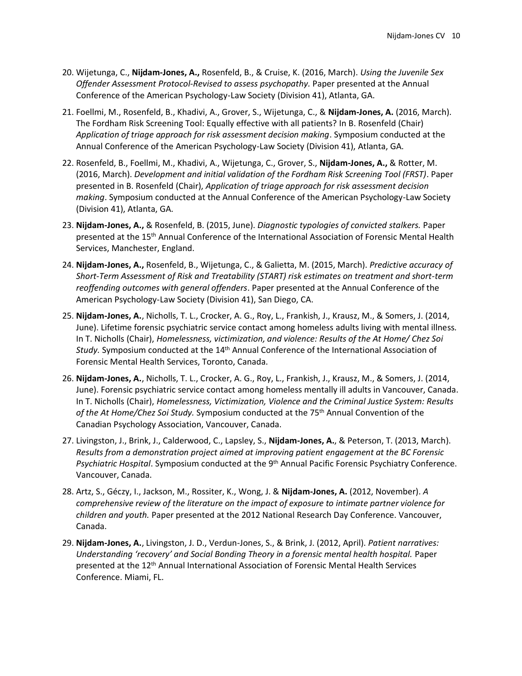- 20. Wijetunga, C., **Nijdam-Jones, A.,** Rosenfeld, B., & Cruise, K. (2016, March). *Using the Juvenile Sex Offender Assessment Protocol-Revised to assess psychopathy.* Paper presented at the Annual Conference of the American Psychology-Law Society (Division 41), Atlanta, GA.
- 21. Foellmi, M., Rosenfeld, B., Khadivi, A., Grover, S., Wijetunga, C., & **Nijdam-Jones, A.** (2016, March). The Fordham Risk Screening Tool: Equally effective with all patients? In B. Rosenfeld (Chair) *Application of triage approach for risk assessment decision making*. Symposium conducted at the Annual Conference of the American Psychology-Law Society (Division 41), Atlanta, GA.
- 22. Rosenfeld, B., Foellmi, M., Khadivi, A., Wijetunga, C., Grover, S., **Nijdam-Jones, A.,** & Rotter, M. (2016, March). *Development and initial validation of the Fordham Risk Screening Tool (FRST)*. Paper presented in B. Rosenfeld (Chair), *Application of triage approach for risk assessment decision making*. Symposium conducted at the Annual Conference of the American Psychology-Law Society (Division 41), Atlanta, GA.
- 23. **Nijdam-Jones, A.,** & Rosenfeld, B. (2015, June). *Diagnostic typologies of convicted stalkers.* Paper presented at the 15<sup>th</sup> Annual Conference of the International Association of Forensic Mental Health Services, Manchester, England.
- 24. **Nijdam-Jones, A.,** Rosenfeld, B., Wijetunga, C., & Galietta, M. (2015, March). *Predictive accuracy of Short-Term Assessment of Risk and Treatability (START) risk estimates on treatment and short-term reoffending outcomes with general offenders*. Paper presented at the Annual Conference of the American Psychology-Law Society (Division 41), San Diego, CA.
- 25. **Nijdam-Jones, A.**, Nicholls, T. L., Crocker, A. G., Roy, L., Frankish, J., Krausz, M., & Somers, J. (2014, June). Lifetime forensic psychiatric service contact among homeless adults living with mental illness*.*  In T. Nicholls (Chair), *Homelessness, victimization, and violence: Results of the At Home/ Chez Soi Study.* Symposium conducted at the 14th Annual Conference of the International Association of Forensic Mental Health Services, Toronto, Canada.
- 26. **Nijdam-Jones, A.**, Nicholls, T. L., Crocker, A. G., Roy, L., Frankish, J., Krausz, M., & Somers, J. (2014, June). Forensic psychiatric service contact among homeless mentally ill adults in Vancouver, Canada. In T. Nicholls (Chair), *Homelessness, Victimization, Violence and the Criminal Justice System: Results of the At Home/Chez Soi Study.* Symposium conducted at the 75th Annual Convention of the Canadian Psychology Association, Vancouver, Canada.
- 27. Livingston, J., Brink, J., Calderwood, C., Lapsley, S., **Nijdam-Jones, A.**, & Peterson, T. (2013, March). *Results from a demonstration project aimed at improving patient engagement at the BC Forensic Psychiatric Hospital*. Symposium conducted at the 9th Annual Pacific Forensic Psychiatry Conference. Vancouver, Canada.
- 28. Artz, S., Géczy, I., Jackson, M., Rossiter, K., Wong, J. & **Nijdam-Jones, A.** (2012, November). *A comprehensive review of the literature on the impact of exposure to intimate partner violence for children and youth.* Paper presented at the 2012 National Research Day Conference. Vancouver, Canada.
- 29. **Nijdam-Jones, A.**, Livingston, J. D., Verdun-Jones, S., & Brink, J. (2012, April). *Patient narratives: Understanding 'recovery' and Social Bonding Theory in a forensic mental health hospital.* Paper presented at the 12th Annual International Association of Forensic Mental Health Services Conference. Miami, FL.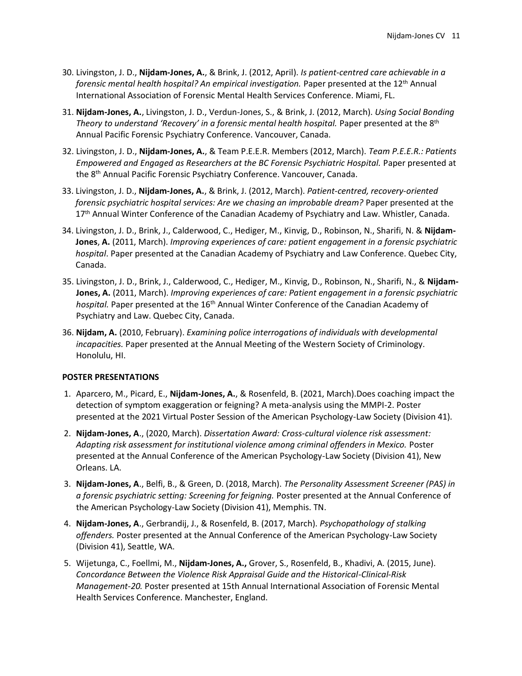- 30. Livingston, J. D., **Nijdam-Jones, A.**, & Brink, J. (2012, April). *Is patient-centred care achievable in a forensic mental health hospital? An empirical investigation.* Paper presented at the 12<sup>th</sup> Annual International Association of Forensic Mental Health Services Conference. Miami, FL.
- 31. **Nijdam-Jones, A.**, Livingston, J. D., Verdun-Jones, S., & Brink, J. (2012, March). *Using Social Bonding Theory to understand 'Recovery' in a forensic mental health hospital.* Paper presented at the 8<sup>th</sup> Annual Pacific Forensic Psychiatry Conference. Vancouver, Canada.
- 32. Livingston, J. D., **Nijdam-Jones, A.**, & Team P.E.E.R. Members (2012, March). *Team P.E.E.R.: Patients Empowered and Engaged as Researchers at the BC Forensic Psychiatric Hospital.* Paper presented at the 8th Annual Pacific Forensic Psychiatry Conference. Vancouver, Canada.
- 33. Livingston, J. D., **Nijdam-Jones, A.**, & Brink, J. (2012, March). *Patient-centred, recovery-oriented forensic psychiatric hospital services: Are we chasing an improbable dream?* Paper presented at the 17<sup>th</sup> Annual Winter Conference of the Canadian Academy of Psychiatry and Law. Whistler, Canada.
- 34. Livingston, J. D., Brink, J., Calderwood, C., Hediger, M., Kinvig, D., Robinson, N., Sharifi, N. & **Nijdam-Jones**, **A.** (2011, March). *Improving experiences of care: patient engagement in a forensic psychiatric hospital*. Paper presented at the Canadian Academy of Psychiatry and Law Conference. Quebec City, Canada.
- 35. Livingston, J. D., Brink, J., Calderwood, C., Hediger, M., Kinvig, D., Robinson, N., Sharifi, N., & **Nijdam-Jones, A.** (2011, March). *Improving experiences of care: Patient engagement in a forensic psychiatric*  hospital. Paper presented at the 16<sup>th</sup> Annual Winter Conference of the Canadian Academy of Psychiatry and Law. Quebec City, Canada.
- 36. **Nijdam, A.** (2010, February). *Examining police interrogations of individuals with developmental incapacities.* Paper presented at the Annual Meeting of the Western Society of Criminology. Honolulu, HI.

#### **POSTER PRESENTATIONS**

- 1. Aparcero, M., Picard, E., **Nijdam-Jones, A.**, & Rosenfeld, B. (2021, March).Does coaching impact the detection of symptom exaggeration or feigning? A meta-analysis using the MMPI-2. Poster presented at the 2021 Virtual Poster Session of the American Psychology-Law Society (Division 41).
- 2. **Nijdam-Jones, A**., (2020, March). *Dissertation Award: Cross-cultural violence risk assessment: Adapting risk assessment for institutional violence among criminal offenders in Mexico.* Poster presented at the Annual Conference of the American Psychology-Law Society (Division 41), New Orleans. LA.
- 3. **Nijdam-Jones, A**., Belfi, B., & Green, D. (2018, March). *The Personality Assessment Screener (PAS) in a forensic psychiatric setting: Screening for feigning.* Poster presented at the Annual Conference of the American Psychology-Law Society (Division 41), Memphis. TN.
- 4. **Nijdam-Jones, A**., Gerbrandij, J., & Rosenfeld, B. (2017, March). *Psychopathology of stalking offenders.* Poster presented at the Annual Conference of the American Psychology-Law Society (Division 41), Seattle, WA.
- 5. Wijetunga, C., Foellmi, M., **Nijdam-Jones, A.,** Grover, S., Rosenfeld, B., Khadivi, A. (2015, June). *Concordance Between the Violence Risk Appraisal Guide and the Historical-Clinical-Risk Management-20.* Poster presented at 15th Annual International Association of Forensic Mental Health Services Conference. Manchester, England.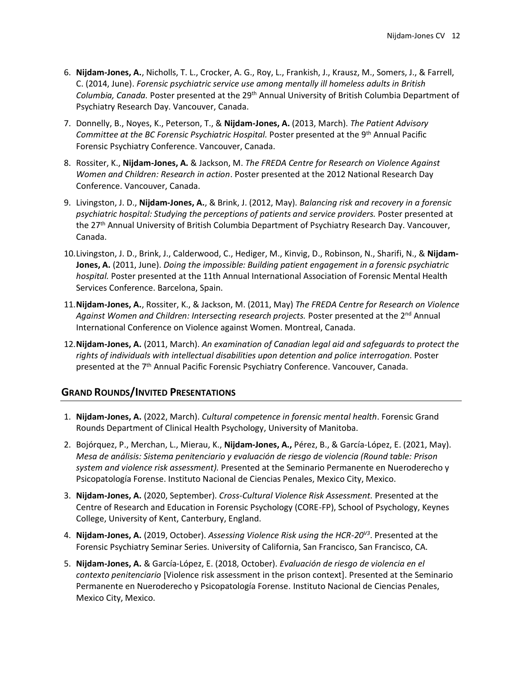- 6. **Nijdam-Jones, A.**, Nicholls, T. L., Crocker, A. G., Roy, L., Frankish, J., Krausz, M., Somers, J., & Farrell, C. (2014, June). *Forensic psychiatric service use among mentally ill homeless adults in British Columbia, Canada.* Poster presented at the 29th Annual University of British Columbia Department of Psychiatry Research Day. Vancouver, Canada.
- 7. Donnelly, B., Noyes, K., Peterson, T., & **Nijdam-Jones, A.** (2013, March). *The Patient Advisory Committee at the BC Forensic Psychiatric Hospital.* Poster presented at the 9th Annual Pacific Forensic Psychiatry Conference. Vancouver, Canada.
- 8. Rossiter, K., **Nijdam-Jones, A.** & Jackson, M. *The FREDA Centre for Research on Violence Against Women and Children: Research in action*. Poster presented at the 2012 National Research Day Conference. Vancouver, Canada.
- 9. Livingston, J. D., **Nijdam-Jones, A.**, & Brink, J. (2012, May). *Balancing risk and recovery in a forensic psychiatric hospital: Studying the perceptions of patients and service providers.* Poster presented at the 27<sup>th</sup> Annual University of British Columbia Department of Psychiatry Research Day. Vancouver, Canada.
- 10.Livingston, J. D., Brink, J., Calderwood, C., Hediger, M., Kinvig, D., Robinson, N., Sharifi, N., & **Nijdam-Jones, A.** (2011, June). *Doing the impossible: Building patient engagement in a forensic psychiatric hospital.* Poster presented at the 11th Annual International Association of Forensic Mental Health Services Conference. Barcelona, Spain.
- 11.**Nijdam-Jones, A.**, Rossiter, K., & Jackson, M. (2011, May) *The FREDA Centre for Research on Violence*  Against Women and Children: Intersecting research projects. Poster presented at the 2<sup>nd</sup> Annual International Conference on Violence against Women. Montreal, Canada.
- 12.**Nijdam-Jones, A.** (2011, March). *An examination of Canadian legal aid and safeguards to protect the rights of individuals with intellectual disabilities upon detention and police interrogation.* Poster presented at the 7<sup>th</sup> Annual Pacific Forensic Psychiatry Conference. Vancouver, Canada.

#### **GRAND ROUNDS/INVITED PRESENTATIONS**

- 1. **Nijdam-Jones, A.** (2022, March). *Cultural competence in forensic mental health*. Forensic Grand Rounds Department of Clinical Health Psychology, University of Manitoba.
- 2. Bojórquez, P., Merchan, L., Mierau, K., **Nijdam-Jones, A.,** Pérez, B., & García-López, E. (2021, May). *Mesa de análisis: Sistema penitenciario y evaluación de riesgo de violencia (Round table: Prison system and violence risk assessment).* Presented at the Seminario Permanente en Nueroderecho y Psicopatología Forense. Instituto Nacional de Ciencias Penales, Mexico City, Mexico.
- 3. **Nijdam-Jones, A.** (2020, September). *Cross-Cultural Violence Risk Assessment.* Presented at the Centre of Research and Education in Forensic Psychology (CORE-FP), School of Psychology, Keynes College, University of Kent, Canterbury, England.
- 4. **Nijdam-Jones, A.** (2019, October). *Assessing Violence Risk using the HCR-20V3* . Presented at the Forensic Psychiatry Seminar Series. University of California, San Francisco, San Francisco, CA.
- 5. **Nijdam-Jones, A.** & García-López, E. (2018, October). *Evaluación de riesgo de violencia en el contexto penitenciario* [Violence risk assessment in the prison context]. Presented at the Seminario Permanente en Nueroderecho y Psicopatología Forense. Instituto Nacional de Ciencias Penales, Mexico City, Mexico.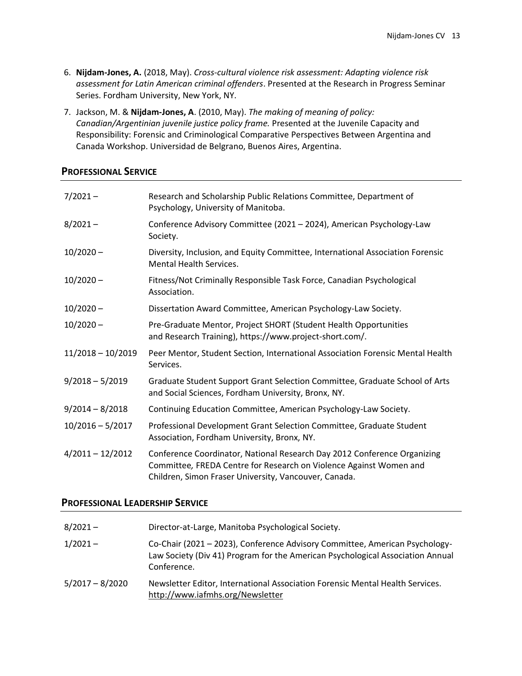- 6. **Nijdam-Jones, A.** (2018, May). *Cross-cultural violence risk assessment: Adapting violence risk assessment for Latin American criminal offenders*. Presented at the Research in Progress Seminar Series. Fordham University, New York, NY.
- 7. Jackson, M. & **Nijdam-Jones, A**. (2010, May). *The making of meaning of policy: Canadian/Argentinian juvenile justice policy frame.* Presented at the Juvenile Capacity and Responsibility: Forensic and Criminological Comparative Perspectives Between Argentina and Canada Workshop. Universidad de Belgrano, Buenos Aires, Argentina.

# **PROFESSIONAL SERVICE**

| $7/2021 -$          | Research and Scholarship Public Relations Committee, Department of<br>Psychology, University of Manitoba.                                                                                               |
|---------------------|---------------------------------------------------------------------------------------------------------------------------------------------------------------------------------------------------------|
| $8/2021 -$          | Conference Advisory Committee (2021 - 2024), American Psychology-Law<br>Society.                                                                                                                        |
| $10/2020 -$         | Diversity, Inclusion, and Equity Committee, International Association Forensic<br><b>Mental Health Services.</b>                                                                                        |
| $10/2020 -$         | Fitness/Not Criminally Responsible Task Force, Canadian Psychological<br>Association.                                                                                                                   |
| $10/2020 -$         | Dissertation Award Committee, American Psychology-Law Society.                                                                                                                                          |
| $10/2020 -$         | Pre-Graduate Mentor, Project SHORT (Student Health Opportunities<br>and Research Training), https://www.project-short.com/.                                                                             |
| $11/2018 - 10/2019$ | Peer Mentor, Student Section, International Association Forensic Mental Health<br>Services.                                                                                                             |
| $9/2018 - 5/2019$   | Graduate Student Support Grant Selection Committee, Graduate School of Arts<br>and Social Sciences, Fordham University, Bronx, NY.                                                                      |
| $9/2014 - 8/2018$   | Continuing Education Committee, American Psychology-Law Society.                                                                                                                                        |
| $10/2016 - 5/2017$  | Professional Development Grant Selection Committee, Graduate Student<br>Association, Fordham University, Bronx, NY.                                                                                     |
| $4/2011 - 12/2012$  | Conference Coordinator, National Research Day 2012 Conference Organizing<br>Committee, FREDA Centre for Research on Violence Against Women and<br>Children, Simon Fraser University, Vancouver, Canada. |

# **PROFESSIONAL LEADERSHIP SERVICE**

| $8/2021 -$        | Director-at-Large, Manitoba Psychological Society.                                                                                                                           |
|-------------------|------------------------------------------------------------------------------------------------------------------------------------------------------------------------------|
| $1/2021 -$        | Co-Chair (2021 – 2023), Conference Advisory Committee, American Psychology-<br>Law Society (Div 41) Program for the American Psychological Association Annual<br>Conference. |
| $5/2017 - 8/2020$ | Newsletter Editor, International Association Forensic Mental Health Services.<br>http://www.iafmhs.org/Newsletter                                                            |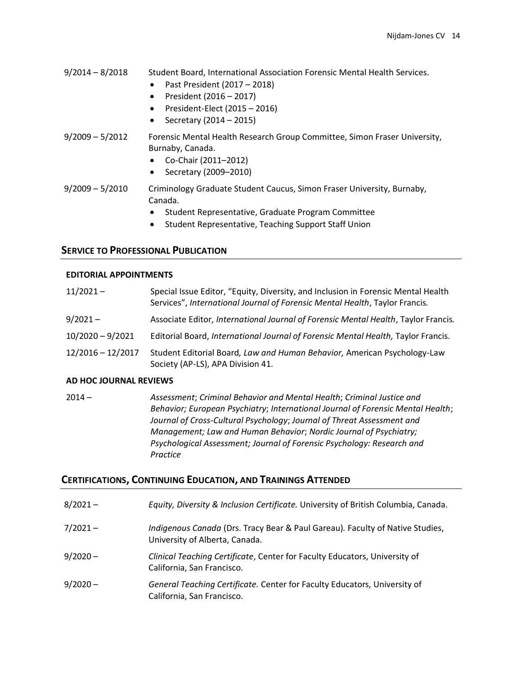- 9/2014 8/2018 Student Board, International Association Forensic Mental Health Services.
	- Past President (2017 2018)
	- President (2016 2017)
	- President-Elect (2015 2016)
	- Secretary (2014 2015)
- 9/2009 5/2012 Forensic Mental Health Research Group Committee, Simon Fraser University, Burnaby, Canada.
	- Co-Chair (2011–2012)
	- Secretary (2009–2010)
- 9/2009 5/2010 Criminology Graduate Student Caucus, Simon Fraser University, Burnaby, Canada.
	- Student Representative, Graduate Program Committee
	- Student Representative, Teaching Support Staff Union

# **SERVICE TO PROFESSIONAL PUBLICATION**

#### **EDITORIAL APPOINTMENTS**

| $11/2021 -$         | Special Issue Editor, "Equity, Diversity, and Inclusion in Forensic Mental Health<br>Services", International Journal of Forensic Mental Health, Taylor Francis. |
|---------------------|------------------------------------------------------------------------------------------------------------------------------------------------------------------|
| $9/2021 -$          | Associate Editor, International Journal of Forensic Mental Health, Taylor Francis.                                                                               |
| $10/2020 - 9/2021$  | Editorial Board, International Journal of Forensic Mental Health, Taylor Francis.                                                                                |
| $12/2016 - 12/2017$ | Student Editorial Board, Law and Human Behavior, American Psychology-Law<br>Society (AP-LS), APA Division 41.                                                    |

#### **AD HOC JOURNAL REVIEWS**

2014 – *Assessment*; *Criminal Behavior and Mental Health*; *Criminal Justice and Behavior; European Psychiatry*; *International Journal of Forensic Mental Health*; *Journal of Cross-Cultural Psychology*; *Journal of Threat Assessment and Management; Law and Human Behavior*; *Nordic Journal of Psychiatry; Psychological Assessment; Journal of Forensic Psychology: Research and Practice*

# **CERTIFICATIONS, CONTINUING EDUCATION, AND TRAININGS ATTENDED**

| $8/2021 -$ | Equity, Diversity & Inclusion Certificate. University of British Columbia, Canada.                              |
|------------|-----------------------------------------------------------------------------------------------------------------|
| $7/2021 -$ | Indigenous Canada (Drs. Tracy Bear & Paul Gareau). Faculty of Native Studies,<br>University of Alberta, Canada. |
| $9/2020 -$ | Clinical Teaching Certificate, Center for Faculty Educators, University of<br>California, San Francisco.        |
| $9/2020 -$ | General Teaching Certificate. Center for Faculty Educators, University of<br>California, San Francisco.         |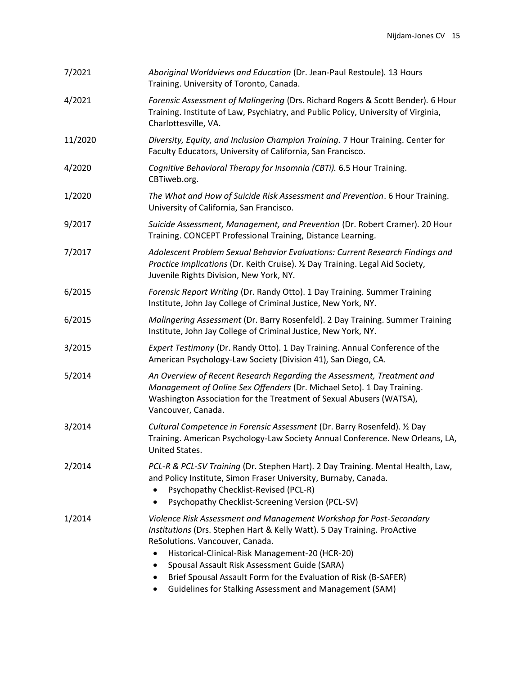| 7/2021  | Aboriginal Worldviews and Education (Dr. Jean-Paul Restoule). 13 Hours<br>Training. University of Toronto, Canada.                                                                                                                                                                                                                                                                                                                                      |
|---------|---------------------------------------------------------------------------------------------------------------------------------------------------------------------------------------------------------------------------------------------------------------------------------------------------------------------------------------------------------------------------------------------------------------------------------------------------------|
| 4/2021  | Forensic Assessment of Malingering (Drs. Richard Rogers & Scott Bender). 6 Hour<br>Training. Institute of Law, Psychiatry, and Public Policy, University of Virginia,<br>Charlottesville, VA.                                                                                                                                                                                                                                                           |
| 11/2020 | Diversity, Equity, and Inclusion Champion Training. 7 Hour Training. Center for<br>Faculty Educators, University of California, San Francisco.                                                                                                                                                                                                                                                                                                          |
| 4/2020  | Cognitive Behavioral Therapy for Insomnia (CBTi). 6.5 Hour Training.<br>CBTiweb.org.                                                                                                                                                                                                                                                                                                                                                                    |
| 1/2020  | The What and How of Suicide Risk Assessment and Prevention. 6 Hour Training.<br>University of California, San Francisco.                                                                                                                                                                                                                                                                                                                                |
| 9/2017  | Suicide Assessment, Management, and Prevention (Dr. Robert Cramer). 20 Hour<br>Training. CONCEPT Professional Training, Distance Learning.                                                                                                                                                                                                                                                                                                              |
| 7/2017  | Adolescent Problem Sexual Behavior Evaluations: Current Research Findings and<br>Practice Implications (Dr. Keith Cruise). 1/2 Day Training. Legal Aid Society,<br>Juvenile Rights Division, New York, NY.                                                                                                                                                                                                                                              |
| 6/2015  | Forensic Report Writing (Dr. Randy Otto). 1 Day Training. Summer Training<br>Institute, John Jay College of Criminal Justice, New York, NY.                                                                                                                                                                                                                                                                                                             |
| 6/2015  | Malingering Assessment (Dr. Barry Rosenfeld). 2 Day Training. Summer Training<br>Institute, John Jay College of Criminal Justice, New York, NY.                                                                                                                                                                                                                                                                                                         |
| 3/2015  | Expert Testimony (Dr. Randy Otto). 1 Day Training. Annual Conference of the<br>American Psychology-Law Society (Division 41), San Diego, CA.                                                                                                                                                                                                                                                                                                            |
| 5/2014  | An Overview of Recent Research Regarding the Assessment, Treatment and<br>Management of Online Sex Offenders (Dr. Michael Seto). 1 Day Training.<br>Washington Association for the Treatment of Sexual Abusers (WATSA),<br>Vancouver, Canada.                                                                                                                                                                                                           |
| 3/2014  | Cultural Competence in Forensic Assessment (Dr. Barry Rosenfeld). 1/2 Day<br>Training. American Psychology-Law Society Annual Conference. New Orleans, LA,<br>United States.                                                                                                                                                                                                                                                                            |
| 2/2014  | PCL-R & PCL-SV Training (Dr. Stephen Hart). 2 Day Training. Mental Health, Law,<br>and Policy Institute, Simon Fraser University, Burnaby, Canada.<br>Psychopathy Checklist-Revised (PCL-R)<br>Psychopathy Checklist-Screening Version (PCL-SV)                                                                                                                                                                                                         |
| 1/2014  | Violence Risk Assessment and Management Workshop for Post-Secondary<br>Institutions (Drs. Stephen Hart & Kelly Watt). 5 Day Training. ProActive<br>ReSolutions. Vancouver, Canada.<br>Historical-Clinical-Risk Management-20 (HCR-20)<br>$\bullet$<br>Spousal Assault Risk Assessment Guide (SARA)<br>$\bullet$<br>Brief Spousal Assault Form for the Evaluation of Risk (B-SAFER)<br>٠<br>Guidelines for Stalking Assessment and Management (SAM)<br>٠ |